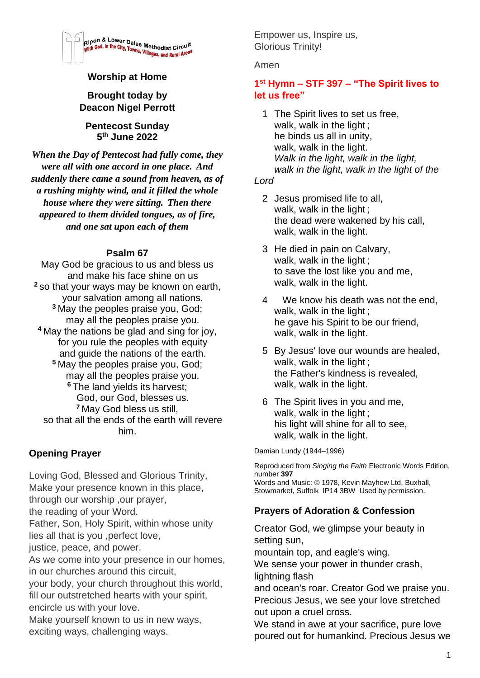

## **Worship at Home**

## **Brought today by Deacon Nigel Perrott**

**Pentecost Sunday 5 th June 2022**

*When the Day of Pentecost had fully come, they were all with one accord in one place. And suddenly there came a sound from heaven, as of a rushing mighty wind, and it filled the whole house where they were sitting. Then there appeared to them divided tongues, as of fire, and one sat upon each of them*

### **Psalm 67**

May God be gracious to us and bless us and make his face shine on us **<sup>2</sup>** so that your ways may be known on earth, your salvation among all nations. **<sup>3</sup>** May the peoples praise you, God; may all the peoples praise you. **<sup>4</sup>** May the nations be glad and sing for joy, for you rule the peoples with equity and guide the nations of the earth. **<sup>5</sup>** May the peoples praise you, God; may all the peoples praise you. **<sup>6</sup>** The land yields its harvest; God, our God, blesses us. **<sup>7</sup>** May God bless us still, so that all the ends of the earth will revere him.

## **Opening Prayer**

Loving God, Blessed and Glorious Trinity, Make your presence known in this place, through our worship ,our prayer, the reading of your Word.

Father, Son, Holy Spirit, within whose unity lies all that is you ,perfect love,

justice, peace, and power.

As we come into your presence in our homes, in our churches around this circuit,

your body, your church throughout this world, fill our outstretched hearts with your spirit, encircle us with your love.

Make yourself known to us in new ways, exciting ways, challenging ways.

Empower us, Inspire us, Glorious Trinity!

Amen

## **1 st Hymn – STF 397 – "The Spirit lives to let us free"**

- 1 The Spirit lives to set us free, walk, walk in the light ; he binds us all in unity, walk, walk in the light. *Walk in the light, walk in the light, walk in the light, walk in the light of the Lord*
	- 2 Jesus promised life to all, walk, walk in the light: the dead were wakened by his call, walk, walk in the light.
	- 3 He died in pain on Calvary, walk, walk in the light; to save the lost like you and me, walk, walk in the light.
	- 4 We know his death was not the end, walk, walk in the light; he gave his Spirit to be our friend, walk, walk in the light.
	- 5 By Jesus' love our wounds are healed, walk, walk in the light: the Father's kindness is revealed, walk, walk in the light.
	- 6 The Spirit lives in you and me, walk, walk in the light; his light will shine for all to see, walk, walk in the light.

Damian Lundy (1944–1996)

Reproduced from *Singing the Faith* Electronic Words Edition, number **397** Words and Music: © 1978, Kevin Mayhew Ltd, Buxhall,

Stowmarket, Suffolk IP14 3BW Used by permission.

## **Prayers of Adoration & Confession**

Creator God, we glimpse your beauty in setting sun,

mountain top, and eagle's wing.

We sense your power in thunder crash, lightning flash

and ocean's roar. Creator God we praise you. Precious Jesus, we see your love stretched out upon a cruel cross.

We stand in awe at your sacrifice, pure love poured out for humankind. Precious Jesus we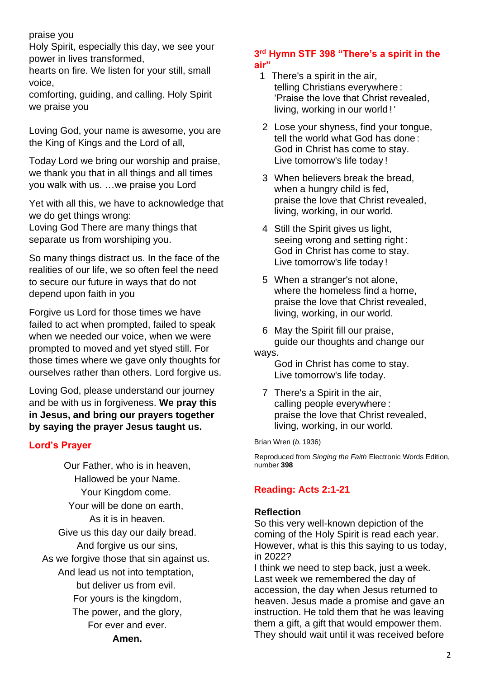praise you

Holy Spirit, especially this day, we see your power in lives transformed,

hearts on fire. We listen for your still, small voice,

comforting, guiding, and calling. Holy Spirit we praise you

Loving God, your name is awesome, you are the King of Kings and the Lord of all,

Today Lord we bring our worship and praise, we thank you that in all things and all times you walk with us. …we praise you Lord

Yet with all this, we have to acknowledge that we do get things wrong:

Loving God There are many things that separate us from worshiping you.

So many things distract us. In the face of the realities of our life, we so often feel the need to secure our future in ways that do not depend upon faith in you

Forgive us Lord for those times we have failed to act when prompted, failed to speak when we needed our voice, when we were prompted to moved and yet styed still. For those times where we gave only thoughts for ourselves rather than others. Lord forgive us.

Loving God, please understand our journey and be with us in forgiveness. **We pray this in Jesus, and bring our prayers together by saying the prayer Jesus taught us.**

## **Lord's Prayer**

Our Father, who is in heaven, Hallowed be your Name. Your Kingdom come. Your will be done on earth, As it is in heaven. Give us this day our daily bread. And forgive us our sins, As we forgive those that sin against us. And lead us not into temptation, but deliver us from evil. For yours is the kingdom, The power, and the glory, For ever and ever. **Amen.**

### **3 rd Hymn STF 398 "There's a spirit in the air"**

- 1 There's a spirit in the air, telling Christians everywhere : 'Praise the love that Christ revealed, living, working in our world ! '
- 2 Lose your shyness, find your tongue, tell the world what God has done : God in Christ has come to stay. Live tomorrow's life today !
- 3 When believers break the bread, when a hungry child is fed, praise the love that Christ revealed, living, working, in our world.
- 4 Still the Spirit gives us light, seeing wrong and setting right : God in Christ has come to stay. Live tomorrow's life today !
- 5 When a stranger's not alone, where the homeless find a home, praise the love that Christ revealed, living, working, in our world.

 6 May the Spirit fill our praise, guide our thoughts and change our ways.

God in Christ has come to stay. Live tomorrow's life today.

 7 There's a Spirit in the air, calling people everywhere : praise the love that Christ revealed, living, working, in our world.

Brian Wren (*b.* 1936)

Reproduced from *Singing the Faith* Electronic Words Edition, number **398**

# **Reading: Acts 2:1-21**

# **Reflection**

So this very well-known depiction of the coming of the Holy Spirit is read each year. However, what is this this saying to us today, in 2022?

I think we need to step back, just a week. Last week we remembered the day of accession, the day when Jesus returned to heaven. Jesus made a promise and gave an instruction. He told them that he was leaving them a gift, a gift that would empower them. They should wait until it was received before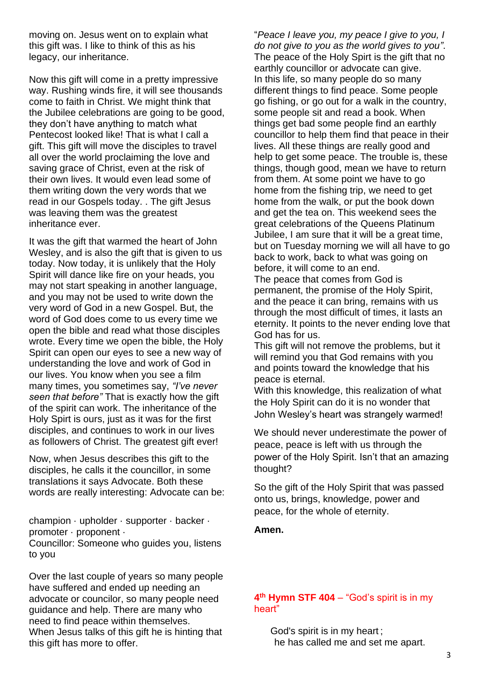moving on. Jesus went on to explain what this gift was. I like to think of this as his legacy, our inheritance.

Now this gift will come in a pretty impressive way. Rushing winds fire, it will see thousands come to faith in Christ. We might think that the Jubilee celebrations are going to be good, they don't have anything to match what Pentecost looked like! That is what I call a gift. This gift will move the disciples to travel all over the world proclaiming the love and saving grace of Christ, even at the risk of their own lives. It would even lead some of them writing down the very words that we read in our Gospels today. . The gift Jesus was leaving them was the greatest inheritance ever.

It was the gift that warmed the heart of John Wesley, and is also the gift that is given to us today. Now today, it is unlikely that the Holy Spirit will dance like fire on your heads, you may not start speaking in another language, and you may not be used to write down the very word of God in a new Gospel. But, the word of God does come to us every time we open the bible and read what those disciples wrote. Every time we open the bible, the Holy Spirit can open our eyes to see a new way of understanding the love and work of God in our lives. You know when you see a film many times, you sometimes say, *"I've never seen that before"* That is exactly how the gift of the spirit can work. The inheritance of the Holy Spirt is ours, just as it was for the first disciples, and continues to work in our lives as followers of Christ. The greatest gift ever!

Now, when Jesus describes this gift to the disciples, he calls it the councillor, in some translations it says Advocate. Both these words are really interesting: Advocate can be:

[champion](https://www.bing.com/ck/a?!&&p=0b4ab2c89b0a85ecd8e4eefa7529f5ddcc48342f76302eeb83adf918a01fd92fJmltdHM9MTY1Mjg3OTYyMyZpZ3VpZD1lMjhlYzVmYi05YjM4LTQxYzctYTBlYy0zODM5ZDExMWRlM2UmaW5zaWQ9NTM5NQ&ptn=3&fclid=579227a6-d6ac-11ec-a55e-7b816f4d9ed7&u=a1L3NlYXJjaD9xPWRlZmluZStjaGFtcGlvbiZGT1JNPURDVFJRWQ&ntb=1) · [upholder](https://www.bing.com/ck/a?!&&p=3b82fd6cf18aacd871657f273cdc9beffd6e57cafe7800bcf8aa8e0d82ccd012JmltdHM9MTY1Mjg3OTYyMyZpZ3VpZD1lMjhlYzVmYi05YjM4LTQxYzctYTBlYy0zODM5ZDExMWRlM2UmaW5zaWQ9NTM5Ng&ptn=3&fclid=57922bca-d6ac-11ec-bb71-8f29ebbe5986&u=a1L3NlYXJjaD9xPWRlZmluZSt1cGhvbGRlciZGT1JNPURDVFJRWQ&ntb=1) · [supporter](https://www.bing.com/ck/a?!&&p=d67309a82d79aedf9b558b007d1784d65947e16b471b72286e84d740ceda3415JmltdHM9MTY1Mjg3OTYyMyZpZ3VpZD1lMjhlYzVmYi05YjM4LTQxYzctYTBlYy0zODM5ZDExMWRlM2UmaW5zaWQ9NTM5Nw&ptn=3&fclid=57922f55-d6ac-11ec-bfc7-193f5ed880b1&u=a1L3NlYXJjaD9xPWRlZmluZStzdXBwb3J0ZXImRk9STT1EQ1RSUVk&ntb=1) · [backer](https://www.bing.com/ck/a?!&&p=f6de68a654de0fd56534180bbf86c6be23723dad001cbdfb51a93dd23d594831JmltdHM9MTY1Mjg3OTYyMyZpZ3VpZD1lMjhlYzVmYi05YjM4LTQxYzctYTBlYy0zODM5ZDExMWRlM2UmaW5zaWQ9NTM5OA&ptn=3&fclid=57923319-d6ac-11ec-b07d-70e992342f4c&u=a1L3NlYXJjaD9xPWRlZmluZStiYWNrZXImRk9STT1EQ1RSUVk&ntb=1) · [promoter](https://www.bing.com/ck/a?!&&p=05b36897e9417c864eedb575c59d8a6330b33079aebca2b82bf009f657d7ac55JmltdHM9MTY1Mjg3OTYyMyZpZ3VpZD1lMjhlYzVmYi05YjM4LTQxYzctYTBlYy0zODM5ZDExMWRlM2UmaW5zaWQ9NTM5OQ&ptn=3&fclid=579236ab-d6ac-11ec-a51a-dc441fa43be6&u=a1L3NlYXJjaD9xPWRlZmluZStwcm9tb3RlciZGT1JNPURDVFJRWQ&ntb=1) · [proponent](https://www.bing.com/ck/a?!&&p=2a7b168be2c92da187927413531fd5e22672ce9f2e9d7f8fe5929d434c64068fJmltdHM9MTY1Mjg3OTYyMyZpZ3VpZD1lMjhlYzVmYi05YjM4LTQxYzctYTBlYy0zODM5ZDExMWRlM2UmaW5zaWQ9NTQwMA&ptn=3&fclid=57923a06-d6ac-11ec-aa82-041f7491af07&u=a1L3NlYXJjaD9xPWRlZmluZStwcm9wb25lbnQmRk9STT1EQ1RSUVk&ntb=1) ·

Councillor: Someone who guides you, listens to you

Over the last couple of years so many people have suffered and ended up needing an advocate or councilor, so many people need guidance and help. There are many who need to find peace within themselves. When Jesus talks of this gift he is hinting that this gift has more to offer.

"*Peace I leave you, my peace I give to you, I do not give to you as the world gives to you"*. The peace of the Holy Spirt is the gift that no earthly councillor or advocate can give. In this life, so many people do so many different things to find peace. Some people go fishing, or go out for a walk in the country, some people sit and read a book. When things get bad some people find an earthly councillor to help them find that peace in their lives. All these things are really good and help to get some peace. The trouble is, these things, though good, mean we have to return from them. At some point we have to go home from the fishing trip, we need to get home from the walk, or put the book down and get the tea on. This weekend sees the great celebrations of the Queens Platinum Jubilee, I am sure that it will be a great time, but on Tuesday morning we will all have to go back to work, back to what was going on before, it will come to an end.

The peace that comes from God is permanent, the promise of the Holy Spirit, and the peace it can bring, remains with us through the most difficult of times, it lasts an eternity. It points to the never ending love that God has for us.

This gift will not remove the problems, but it will remind you that God remains with you and points toward the knowledge that his peace is eternal.

With this knowledge, this realization of what the Holy Spirit can do it is no wonder that John Wesley's heart was strangely warmed!

We should never underestimate the power of peace, peace is left with us through the power of the Holy Spirit. Isn't that an amazing thought?

So the gift of the Holy Spirit that was passed onto us, brings, knowledge, power and peace, for the whole of eternity.

#### **Amen.**

#### **4 th Hymn STF 404** – "God's spirit is in my heart"

God's spirit is in my heart ; he has called me and set me apart.